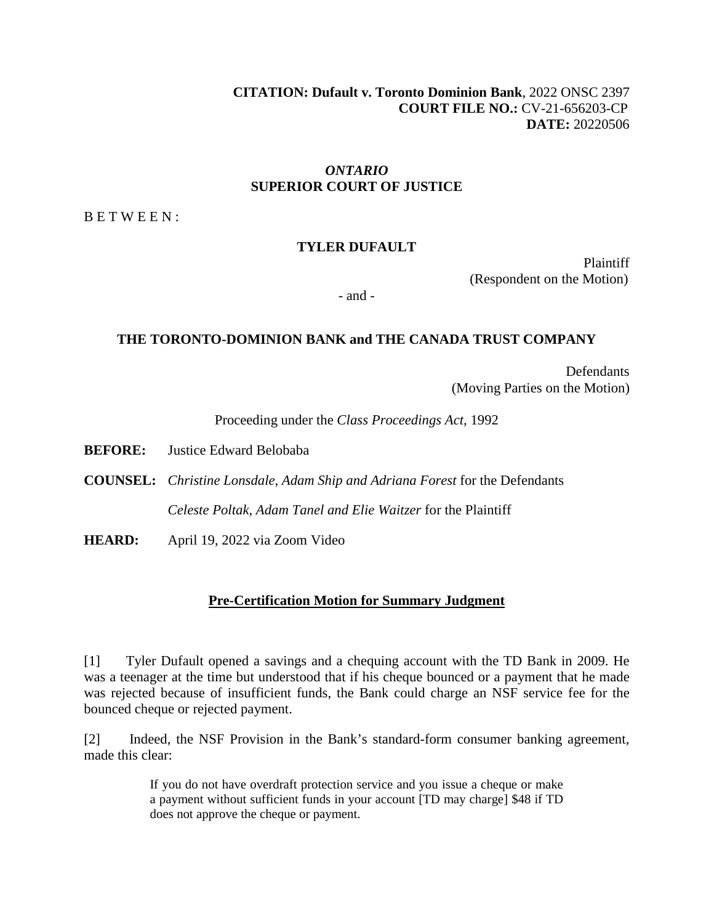**CITATION: Dufault v. Toronto Dominion Bank**, 2022 ONSC 2397 **COURT FILE NO.:** CV-21-656203-CP **DATE:** 20220506

## *ONTARIO* **SUPERIOR COURT OF JUSTICE**

B E T W E E N :

#### **TYLER DUFAULT**

Plaintiff (Respondent on the Motion)

- and -

#### **THE TORONTO-DOMINION BANK and THE CANADA TRUST COMPANY**

**Defendants** (Moving Parties on the Motion)

Proceeding under the *Class Proceedings Act*, 1992

**BEFORE:** Justice Edward Belobaba

**COUNSEL:** *Christine Lonsdale, Adam Ship and Adriana Forest* for the Defendants *Celeste Poltak, Adam Tanel and Elie Waitzer* for the Plaintiff

**HEARD:** April 19, 2022 via Zoom Video

#### **Pre-Certification Motion for Summary Judgment**

[1] Tyler Dufault opened a savings and a chequing account with the TD Bank in 2009. He was a teenager at the time but understood that if his cheque bounced or a payment that he made was rejected because of insufficient funds, the Bank could charge an NSF service fee for the bounced cheque or rejected payment.

[2] Indeed, the NSF Provision in the Bank's standard-form consumer banking agreement, made this clear:

> If you do not have overdraft protection service and you issue a cheque or make a payment without sufficient funds in your account [TD may charge] \$48 if TD does not approve the cheque or payment.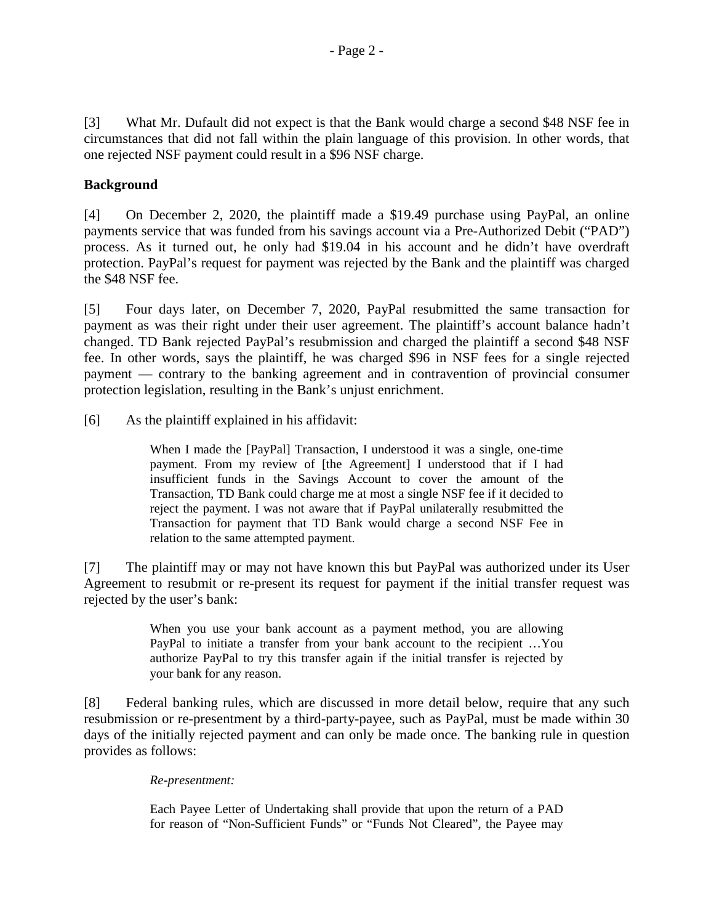[3] What Mr. Dufault did not expect is that the Bank would charge a second \$48 NSF fee in circumstances that did not fall within the plain language of this provision. In other words, that one rejected NSF payment could result in a \$96 NSF charge.

# **Background**

[4] On December 2, 2020, the plaintiff made a \$19.49 purchase using PayPal, an online payments service that was funded from his savings account via a Pre-Authorized Debit ("PAD") process. As it turned out, he only had \$19.04 in his account and he didn't have overdraft protection. PayPal's request for payment was rejected by the Bank and the plaintiff was charged the \$48 NSF fee.

[5] Four days later, on December 7, 2020, PayPal resubmitted the same transaction for payment as was their right under their user agreement. The plaintiff's account balance hadn't changed. TD Bank rejected PayPal's resubmission and charged the plaintiff a second \$48 NSF fee. In other words, says the plaintiff, he was charged \$96 in NSF fees for a single rejected payment — contrary to the banking agreement and in contravention of provincial consumer protection legislation, resulting in the Bank's unjust enrichment.

[6] As the plaintiff explained in his affidavit:

When I made the [PayPal] Transaction, I understood it was a single, one-time payment. From my review of [the Agreement] I understood that if I had insufficient funds in the Savings Account to cover the amount of the Transaction, TD Bank could charge me at most a single NSF fee if it decided to reject the payment. I was not aware that if PayPal unilaterally resubmitted the Transaction for payment that TD Bank would charge a second NSF Fee in relation to the same attempted payment.

[7] The plaintiff may or may not have known this but PayPal was authorized under its User Agreement to resubmit or re-present its request for payment if the initial transfer request was rejected by the user's bank:

> When you use your bank account as a payment method, you are allowing PayPal to initiate a transfer from your bank account to the recipient …You authorize PayPal to try this transfer again if the initial transfer is rejected by your bank for any reason.

[8] Federal banking rules, which are discussed in more detail below, require that any such resubmission or re-presentment by a third-party-payee, such as PayPal, must be made within 30 days of the initially rejected payment and can only be made once. The banking rule in question provides as follows:

## *Re-presentment:*

Each Payee Letter of Undertaking shall provide that upon the return of a PAD for reason of "Non-Sufficient Funds" or "Funds Not Cleared", the Payee may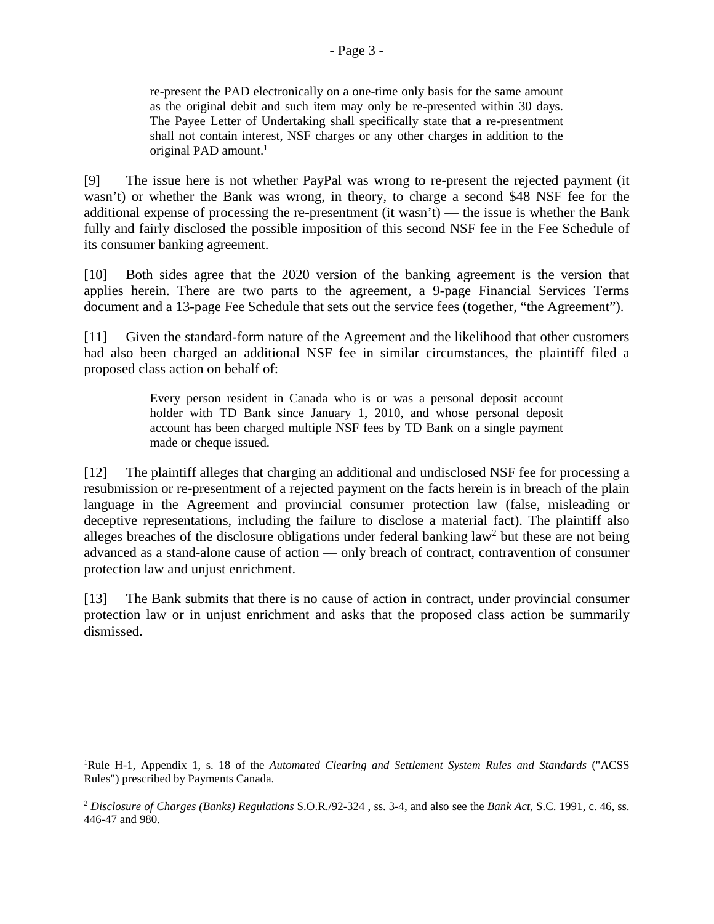re-present the PAD electronically on a one-time only basis for the same amount as the original debit and such item may only be re-presented within 30 days. The Payee Letter of Undertaking shall specifically state that a re-presentment shall not contain interest, NSF charges or any other charges in addition to the original PAD amount.<sup>1</sup>

[9] The issue here is not whether PayPal was wrong to re-present the rejected payment (it wasn't) or whether the Bank was wrong, in theory, to charge a second \$48 NSF fee for the additional expense of processing the re-presentment (it wasn't) — the issue is whether the Bank fully and fairly disclosed the possible imposition of this second NSF fee in the Fee Schedule of its consumer banking agreement.

[10] Both sides agree that the 2020 version of the banking agreement is the version that applies herein. There are two parts to the agreement, a 9-page Financial Services Terms document and a 13-page Fee Schedule that sets out the service fees (together, "the Agreement").

[11] Given the standard-form nature of the Agreement and the likelihood that other customers had also been charged an additional NSF fee in similar circumstances, the plaintiff filed a proposed class action on behalf of:

> Every person resident in Canada who is or was a personal deposit account holder with TD Bank since January 1, 2010, and whose personal deposit account has been charged multiple NSF fees by TD Bank on a single payment made or cheque issued.

[12] The plaintiff alleges that charging an additional and undisclosed NSF fee for processing a resubmission or re-presentment of a rejected payment on the facts herein is in breach of the plain language in the Agreement and provincial consumer protection law (false, misleading or deceptive representations, including the failure to disclose a material fact). The plaintiff also alleges breaches of the disclosure obligations under federal banking law<sup>2</sup> but these are not being advanced as a stand-alone cause of action — only breach of contract, contravention of consumer protection law and unjust enrichment.

[13] The Bank submits that there is no cause of action in contract, under provincial consumer protection law or in unjust enrichment and asks that the proposed class action be summarily dismissed.

<sup>1</sup>Rule H-1, Appendix 1, s. 18 of the *Automated Clearing and Settlement System Rules and Standards* ("ACSS Rules") prescribed by Payments Canada.

<sup>2</sup> *Disclosure of Charges (Banks) Regulations* S.O.R./92-324 , ss. 3-4, and also see the *Bank Act,* S.C. 1991, c. 46, ss. 446-47 and 980.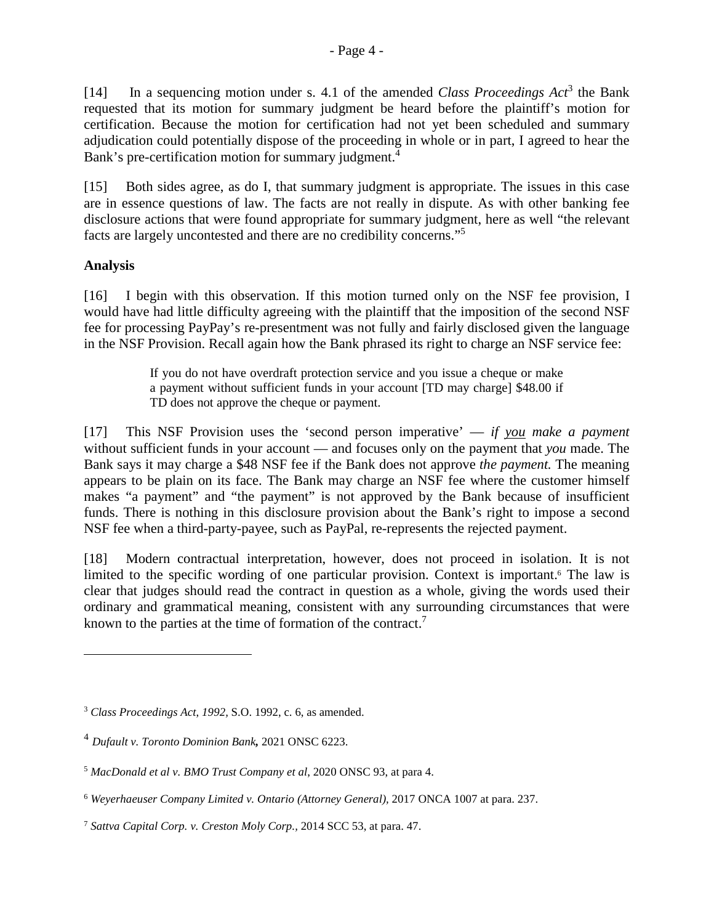[15] Both sides agree, as do I, that summary judgment is appropriate. The issues in this case are in essence questions of law. The facts are not really in dispute. As with other banking fee disclosure actions that were found appropriate for summary judgment, here as well "the relevant facts are largely uncontested and there are no credibility concerns."<sup>5</sup>

# **Analysis**

[16] I begin with this observation. If this motion turned only on the NSF fee provision, I would have had little difficulty agreeing with the plaintiff that the imposition of the second NSF fee for processing PayPay's re-presentment was not fully and fairly disclosed given the language in the NSF Provision. Recall again how the Bank phrased its right to charge an NSF service fee:

> If you do not have overdraft protection service and you issue a cheque or make a payment without sufficient funds in your account [TD may charge] \$48.00 if TD does not approve the cheque or payment.

[17] This NSF Provision uses the 'second person imperative' — *if you make a payment* without sufficient funds in your account — and focuses only on the payment that *you* made. The Bank says it may charge a \$48 NSF fee if the Bank does not approve *the payment.* The meaning appears to be plain on its face. The Bank may charge an NSF fee where the customer himself makes "a payment" and "the payment" is not approved by the Bank because of insufficient funds. There is nothing in this disclosure provision about the Bank's right to impose a second NSF fee when a third-party-payee, such as PayPal, re-represents the rejected payment.

[18] Modern contractual interpretation, however, does not proceed in isolation. It is not limited to the specific wording of one particular provision. Context is important.<sup>6</sup> The law is clear that judges should read the contract in question as a whole, giving the words used their ordinary and grammatical meaning, consistent with any surrounding circumstances that were known to the parties at the time of formation of the contract.<sup>7</sup>

<sup>3</sup> *Class Proceedings Act*, *1992,* S.O. 1992, c. 6, as amended.

<sup>4</sup> *Dufault v. Toronto Dominion Bank,* 2021 ONSC 6223.

<sup>5</sup> *MacDonald et al v. BMO Trust Company et al*, 2020 ONSC 93, at para 4.

<sup>6</sup> *Weyerhaeuser Company Limited v. Ontario (Attorney General),* 2017 ONCA 1007 at para. 237.

<sup>7</sup> *Sattva Capital Corp. v. Creston Moly Corp.,* 2014 SCC 53, at para. 47.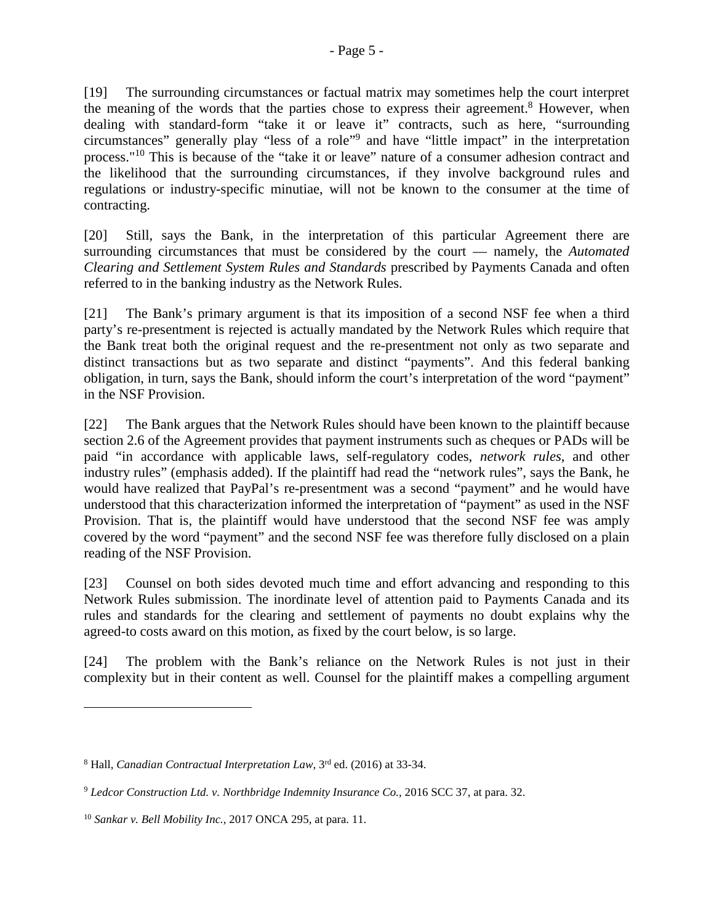[19] The surrounding circumstances or factual matrix may sometimes help the court interpret the meaning of the words that the parties chose to express their agreement.<sup>8</sup> However, when dealing with standard-form "take it or leave it" contracts, such as here, "surrounding circumstances" generally play "less of a role"<sup>9</sup> and have "little impact" in the interpretation process."<sup>10</sup> This is because of the "take it or leave" nature of a consumer adhesion contract and the likelihood that the surrounding circumstances, if they involve background rules and regulations or industry-specific minutiae, will not be known to the consumer at the time of contracting.

[20] Still, says the Bank, in the interpretation of this particular Agreement there are surrounding circumstances that must be considered by the court — namely, the *Automated Clearing and Settlement System Rules and Standards* prescribed by Payments Canada and often referred to in the banking industry as the Network Rules.

[21] The Bank's primary argument is that its imposition of a second NSF fee when a third party's re-presentment is rejected is actually mandated by the Network Rules which require that the Bank treat both the original request and the re-presentment not only as two separate and distinct transactions but as two separate and distinct "payments". And this federal banking obligation, in turn, says the Bank, should inform the court's interpretation of the word "payment" in the NSF Provision.

[22] The Bank argues that the Network Rules should have been known to the plaintiff because section 2.6 of the Agreement provides that payment instruments such as cheques or PADs will be paid "in accordance with applicable laws, self-regulatory codes, *network rules*, and other industry rules" (emphasis added). If the plaintiff had read the "network rules", says the Bank, he would have realized that PayPal's re-presentment was a second "payment" and he would have understood that this characterization informed the interpretation of "payment" as used in the NSF Provision. That is, the plaintiff would have understood that the second NSF fee was amply covered by the word "payment" and the second NSF fee was therefore fully disclosed on a plain reading of the NSF Provision.

[23] Counsel on both sides devoted much time and effort advancing and responding to this Network Rules submission. The inordinate level of attention paid to Payments Canada and its rules and standards for the clearing and settlement of payments no doubt explains why the agreed-to costs award on this motion, as fixed by the court below, is so large.

[24] The problem with the Bank's reliance on the Network Rules is not just in their complexity but in their content as well. Counsel for the plaintiff makes a compelling argument

<sup>8</sup> Hall, *Canadian Contractual Interpretation Law,* 3rd ed. (2016) at 33-34.

<sup>9</sup> *Ledcor Construction Ltd. v. Northbridge Indemnity Insurance Co.*, 2016 SCC 37, at para. 32.

<sup>10</sup> *Sankar v. Bell Mobility Inc.,* 2017 ONCA 295, at para. 11.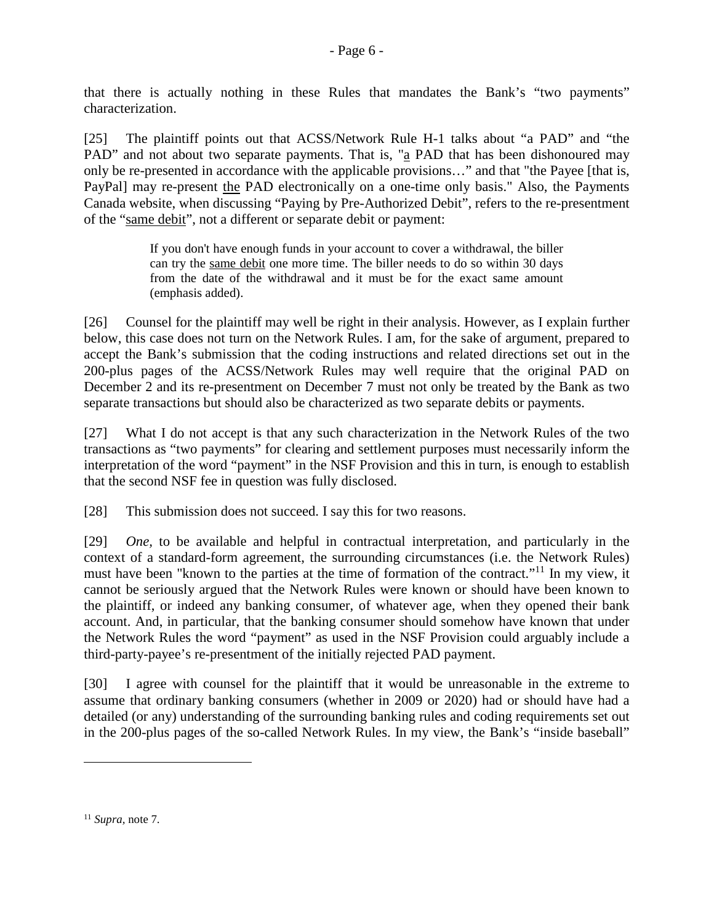that there is actually nothing in these Rules that mandates the Bank's "two payments" characterization.

[25] The plaintiff points out that ACSS/Network Rule H-1 talks about "a PAD" and "the PAD" and not about two separate payments. That is, " $a$  PAD that has been dishonoured may only be re-presented in accordance with the applicable provisions…" and that "the Payee [that is, PayPal] may re-present the PAD electronically on a one-time only basis." Also, the Payments Canada website, when discussing "Paying by Pre-Authorized Debit", refers to the re-presentment of the "same debit", not a different or separate debit or payment:

> If you don't have enough funds in your account to cover a withdrawal, the biller can try the same debit one more time. The biller needs to do so within 30 days from the date of the withdrawal and it must be for the exact same amount (emphasis added).

[26] Counsel for the plaintiff may well be right in their analysis. However, as I explain further below, this case does not turn on the Network Rules. I am, for the sake of argument, prepared to accept the Bank's submission that the coding instructions and related directions set out in the 200-plus pages of the ACSS/Network Rules may well require that the original PAD on December 2 and its re-presentment on December 7 must not only be treated by the Bank as two separate transactions but should also be characterized as two separate debits or payments.

[27] What I do not accept is that any such characterization in the Network Rules of the two transactions as "two payments" for clearing and settlement purposes must necessarily inform the interpretation of the word "payment" in the NSF Provision and this in turn, is enough to establish that the second NSF fee in question was fully disclosed.

[28] This submission does not succeed. I say this for two reasons.

[29] *One,* to be available and helpful in contractual interpretation, and particularly in the context of a standard-form agreement, the surrounding circumstances (i.e. the Network Rules) must have been "known to the parties at the time of formation of the contract."<sup>11</sup> In my view, it cannot be seriously argued that the Network Rules were known or should have been known to the plaintiff, or indeed any banking consumer, of whatever age, when they opened their bank account. And, in particular, that the banking consumer should somehow have known that under the Network Rules the word "payment" as used in the NSF Provision could arguably include a third-party-payee's re-presentment of the initially rejected PAD payment.

[30] I agree with counsel for the plaintiff that it would be unreasonable in the extreme to assume that ordinary banking consumers (whether in 2009 or 2020) had or should have had a detailed (or any) understanding of the surrounding banking rules and coding requirements set out in the 200-plus pages of the so-called Network Rules. In my view, the Bank's "inside baseball"

<sup>11</sup> *Supra,* note 7.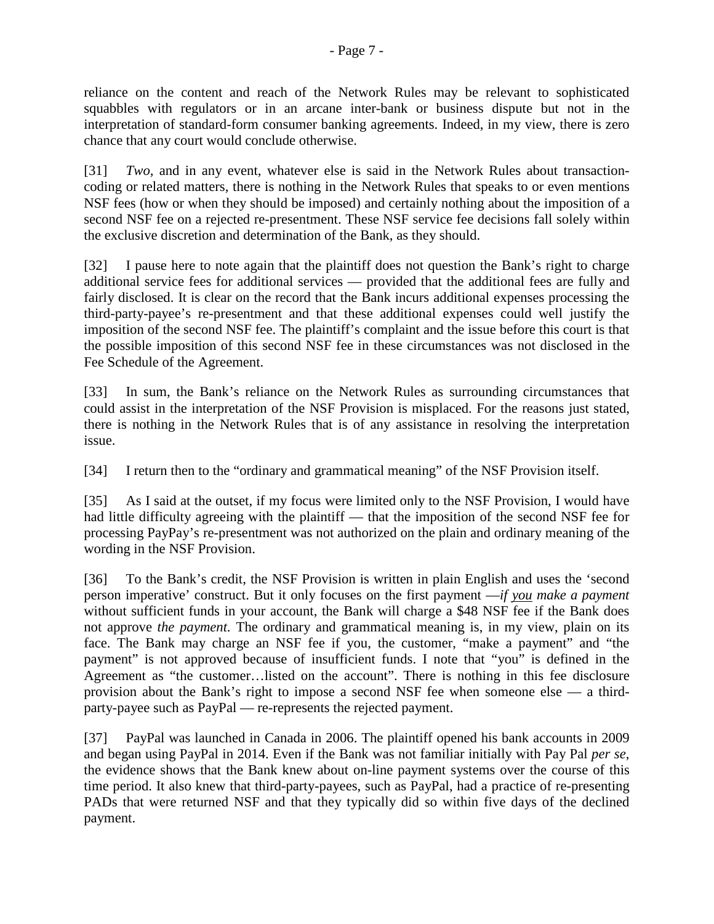reliance on the content and reach of the Network Rules may be relevant to sophisticated squabbles with regulators or in an arcane inter-bank or business dispute but not in the interpretation of standard-form consumer banking agreements. Indeed, in my view, there is zero chance that any court would conclude otherwise.

[31] *Two,* and in any event, whatever else is said in the Network Rules about transactioncoding or related matters, there is nothing in the Network Rules that speaks to or even mentions NSF fees (how or when they should be imposed) and certainly nothing about the imposition of a second NSF fee on a rejected re-presentment. These NSF service fee decisions fall solely within the exclusive discretion and determination of the Bank, as they should.

[32] I pause here to note again that the plaintiff does not question the Bank's right to charge additional service fees for additional services — provided that the additional fees are fully and fairly disclosed. It is clear on the record that the Bank incurs additional expenses processing the third-party-payee's re-presentment and that these additional expenses could well justify the imposition of the second NSF fee. The plaintiff's complaint and the issue before this court is that the possible imposition of this second NSF fee in these circumstances was not disclosed in the Fee Schedule of the Agreement.

[33] In sum, the Bank's reliance on the Network Rules as surrounding circumstances that could assist in the interpretation of the NSF Provision is misplaced. For the reasons just stated, there is nothing in the Network Rules that is of any assistance in resolving the interpretation issue.

[34] I return then to the "ordinary and grammatical meaning" of the NSF Provision itself.

[35] As I said at the outset, if my focus were limited only to the NSF Provision, I would have had little difficulty agreeing with the plaintiff — that the imposition of the second NSF fee for processing PayPay's re-presentment was not authorized on the plain and ordinary meaning of the wording in the NSF Provision.

[36] To the Bank's credit, the NSF Provision is written in plain English and uses the 'second person imperative' construct. But it only focuses on the first payment —*if you make a payment* without sufficient funds in your account, the Bank will charge a \$48 NSF fee if the Bank does not approve *the payment.* The ordinary and grammatical meaning is, in my view, plain on its face. The Bank may charge an NSF fee if you, the customer, "make a payment" and "the payment" is not approved because of insufficient funds. I note that "you" is defined in the Agreement as "the customer…listed on the account". There is nothing in this fee disclosure provision about the Bank's right to impose a second NSF fee when someone else — a thirdparty-payee such as PayPal — re-represents the rejected payment.

[37] PayPal was launched in Canada in 2006. The plaintiff opened his bank accounts in 2009 and began using PayPal in 2014. Even if the Bank was not familiar initially with Pay Pal *per se*, the evidence shows that the Bank knew about on-line payment systems over the course of this time period. It also knew that third-party-payees, such as PayPal, had a practice of re-presenting PADs that were returned NSF and that they typically did so within five days of the declined payment.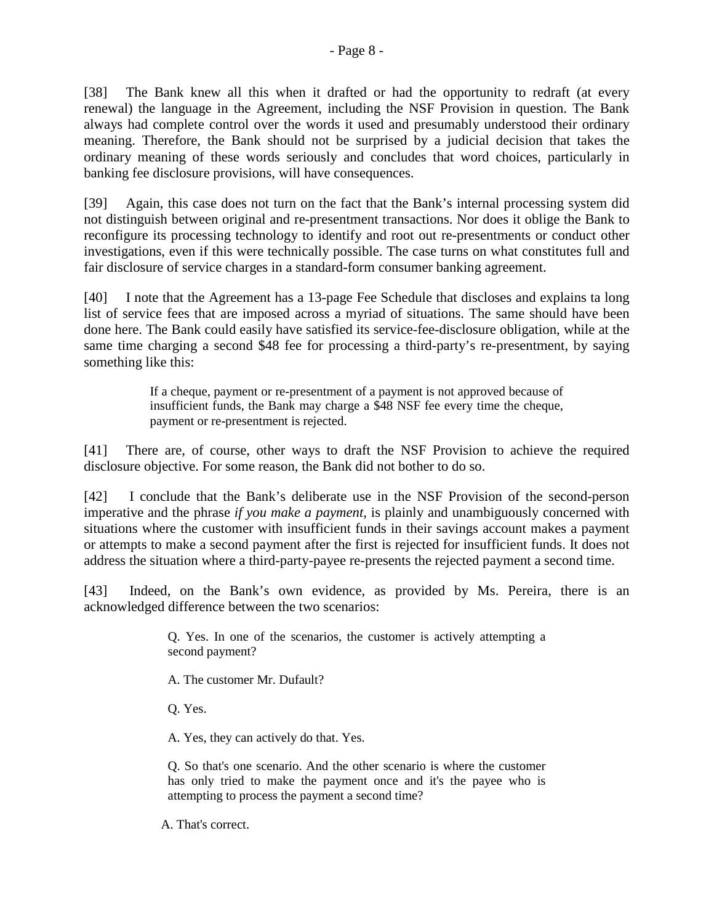[38] The Bank knew all this when it drafted or had the opportunity to redraft (at every renewal) the language in the Agreement, including the NSF Provision in question. The Bank always had complete control over the words it used and presumably understood their ordinary meaning. Therefore, the Bank should not be surprised by a judicial decision that takes the ordinary meaning of these words seriously and concludes that word choices, particularly in banking fee disclosure provisions, will have consequences.

[39] Again, this case does not turn on the fact that the Bank's internal processing system did not distinguish between original and re-presentment transactions. Nor does it oblige the Bank to reconfigure its processing technology to identify and root out re-presentments or conduct other investigations, even if this were technically possible. The case turns on what constitutes full and fair disclosure of service charges in a standard-form consumer banking agreement.

[40] I note that the Agreement has a 13-page Fee Schedule that discloses and explains ta long list of service fees that are imposed across a myriad of situations. The same should have been done here. The Bank could easily have satisfied its service-fee-disclosure obligation, while at the same time charging a second \$48 fee for processing a third-party's re-presentment, by saying something like this:

> If a cheque, payment or re-presentment of a payment is not approved because of insufficient funds, the Bank may charge a \$48 NSF fee every time the cheque, payment or re-presentment is rejected.

[41] There are, of course, other ways to draft the NSF Provision to achieve the required disclosure objective. For some reason, the Bank did not bother to do so.

[42] I conclude that the Bank's deliberate use in the NSF Provision of the second-person imperative and the phrase *if you make a payment*, is plainly and unambiguously concerned with situations where the customer with insufficient funds in their savings account makes a payment or attempts to make a second payment after the first is rejected for insufficient funds. It does not address the situation where a third-party-payee re-presents the rejected payment a second time.

[43] Indeed, on the Bank's own evidence, as provided by Ms. Pereira, there is an acknowledged difference between the two scenarios:

> Q. Yes. In one of the scenarios, the customer is actively attempting a second payment?

A. The customer Mr. Dufault?

Q. Yes.

A. Yes, they can actively do that. Yes.

Q. So that's one scenario. And the other scenario is where the customer has only tried to make the payment once and it's the payee who is attempting to process the payment a second time?

A. That's correct.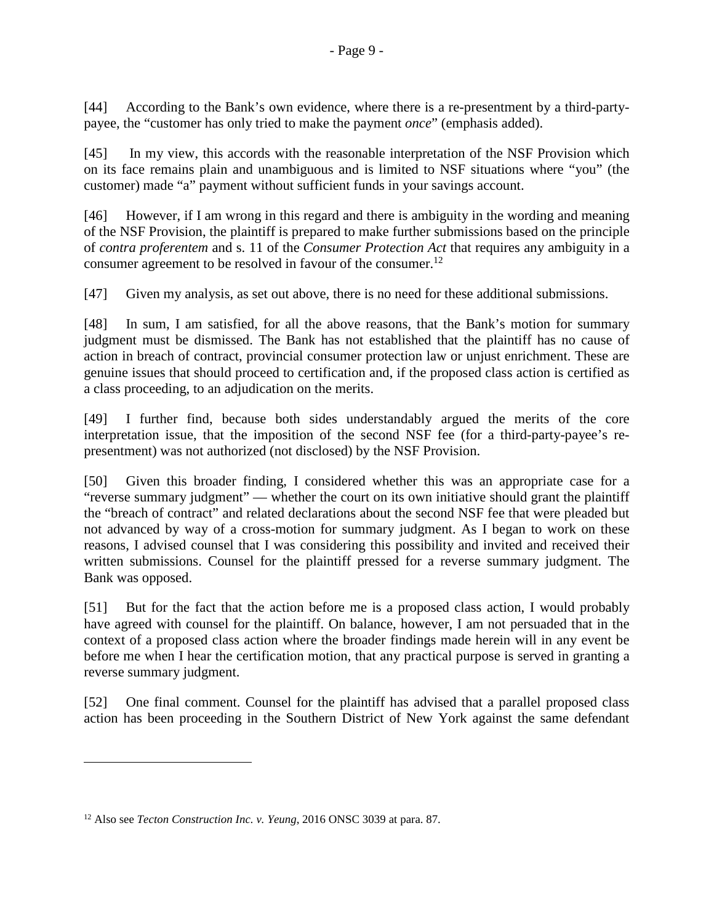[44] According to the Bank's own evidence, where there is a re-presentment by a third-partypayee, the "customer has only tried to make the payment *once*" (emphasis added).

[45] In my view, this accords with the reasonable interpretation of the NSF Provision which on its face remains plain and unambiguous and is limited to NSF situations where "you" (the customer) made "a" payment without sufficient funds in your savings account.

[46] However, if I am wrong in this regard and there is ambiguity in the wording and meaning of the NSF Provision, the plaintiff is prepared to make further submissions based on the principle of *contra proferentem* and s. 11 of the *Consumer Protection Act* that requires any ambiguity in a consumer agreement to be resolved in favour of the consumer.<sup>12</sup>

[47] Given my analysis, as set out above, there is no need for these additional submissions.

[48] In sum, I am satisfied, for all the above reasons, that the Bank's motion for summary judgment must be dismissed. The Bank has not established that the plaintiff has no cause of action in breach of contract, provincial consumer protection law or unjust enrichment. These are genuine issues that should proceed to certification and, if the proposed class action is certified as a class proceeding, to an adjudication on the merits.

[49] I further find, because both sides understandably argued the merits of the core interpretation issue, that the imposition of the second NSF fee (for a third-party-payee's representment) was not authorized (not disclosed) by the NSF Provision.

[50] Given this broader finding, I considered whether this was an appropriate case for a "reverse summary judgment" — whether the court on its own initiative should grant the plaintiff the "breach of contract" and related declarations about the second NSF fee that were pleaded but not advanced by way of a cross-motion for summary judgment. As I began to work on these reasons, I advised counsel that I was considering this possibility and invited and received their written submissions. Counsel for the plaintiff pressed for a reverse summary judgment. The Bank was opposed.

[51] But for the fact that the action before me is a proposed class action, I would probably have agreed with counsel for the plaintiff. On balance, however, I am not persuaded that in the context of a proposed class action where the broader findings made herein will in any event be before me when I hear the certification motion, that any practical purpose is served in granting a reverse summary judgment.

[52] One final comment. Counsel for the plaintiff has advised that a parallel proposed class action has been proceeding in the Southern District of New York against the same defendant

<sup>12</sup> Also see *Tecton Construction Inc. v. Yeung*, 2016 ONSC 3039 at para. 87.